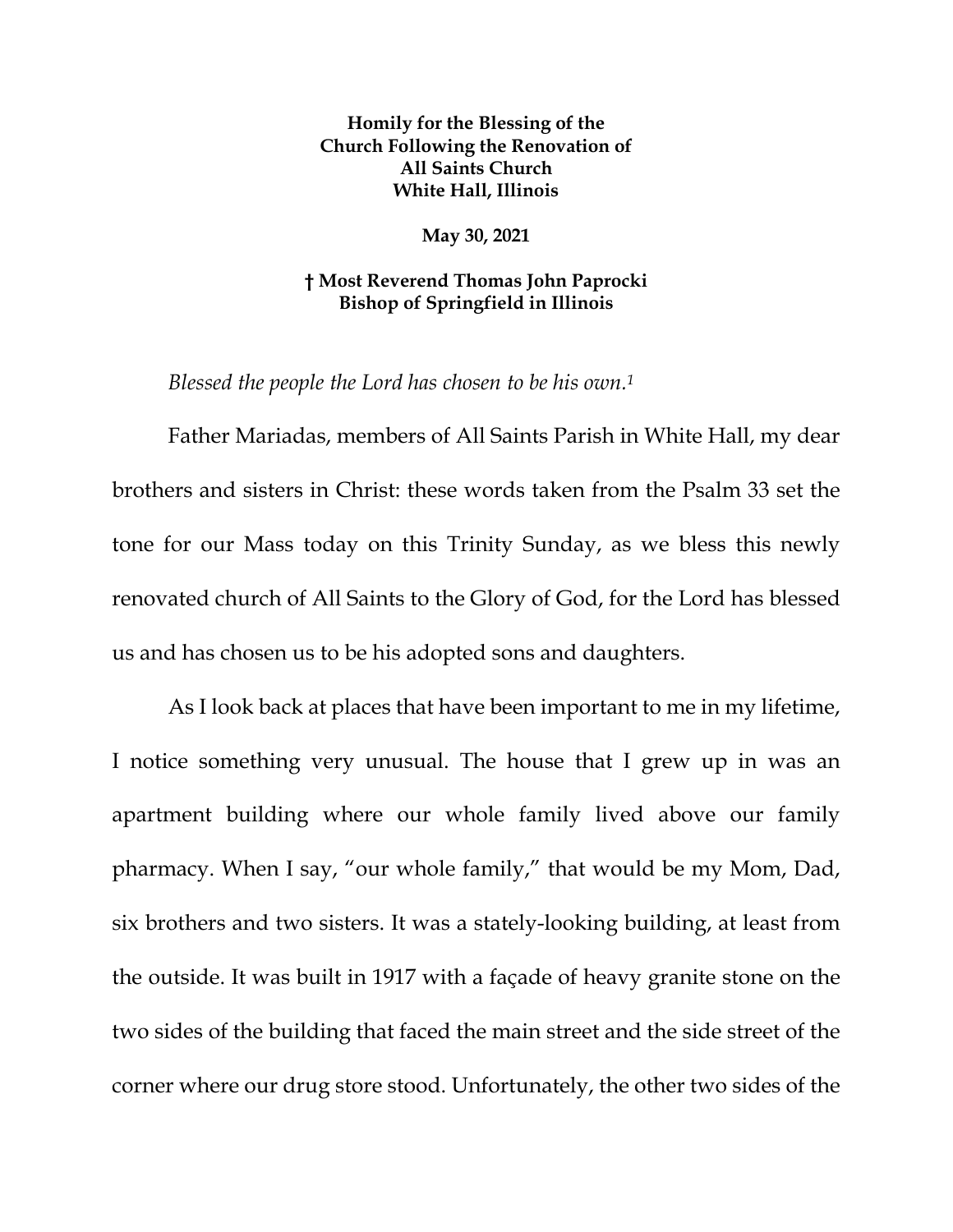**Homily for the Blessing of the Church Following the Renovation of All Saints Church White Hall, Illinois** 

**May 30, 2021** 

## **† Most Reverend Thomas John Paprocki Bishop of Springfield in Illinois**

*Blessed the people the Lord has chosen to be his own.1* 

Father Mariadas, members of All Saints Parish in White Hall, my dear brothers and sisters in Christ: these words taken from the Psalm 33 set the tone for our Mass today on this Trinity Sunday, as we bless this newly renovated church of All Saints to the Glory of God, for the Lord has blessed us and has chosen us to be his adopted sons and daughters.

As I look back at places that have been important to me in my lifetime, I notice something very unusual. The house that I grew up in was an apartment building where our whole family lived above our family pharmacy. When I say, "our whole family," that would be my Mom, Dad, six brothers and two sisters. It was a stately-looking building, at least from the outside. It was built in 1917 with a façade of heavy granite stone on the two sides of the building that faced the main street and the side street of the corner where our drug store stood. Unfortunately, the other two sides of the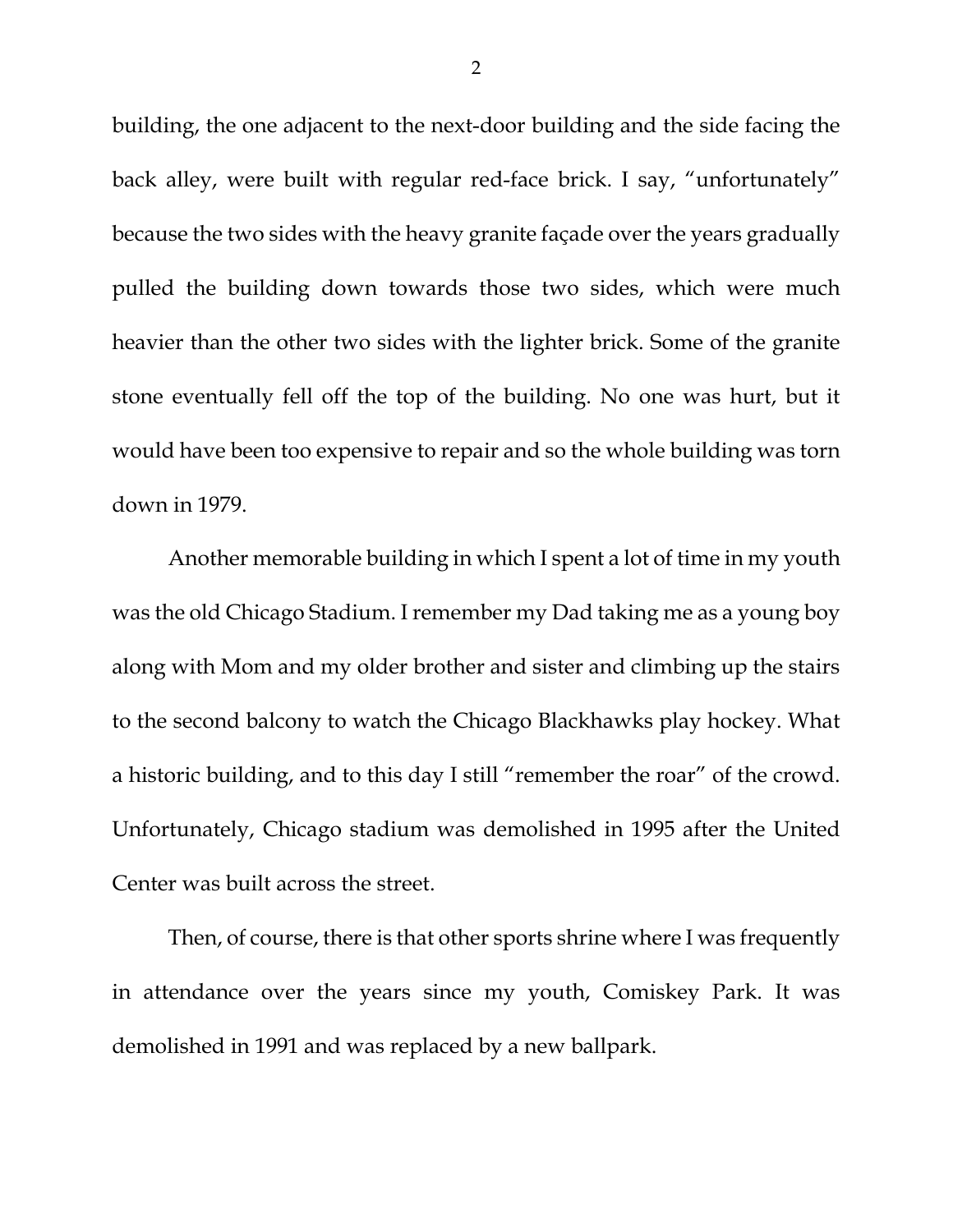building, the one adjacent to the next-door building and the side facing the back alley, were built with regular red-face brick. I say, "unfortunately" because the two sides with the heavy granite façade over the years gradually pulled the building down towards those two sides, which were much heavier than the other two sides with the lighter brick. Some of the granite stone eventually fell off the top of the building. No one was hurt, but it would have been too expensive to repair and so the whole building was torn down in 1979.

Another memorable building in which I spent a lot of time in my youth was the old Chicago Stadium. I remember my Dad taking me as a young boy along with Mom and my older brother and sister and climbing up the stairs to the second balcony to watch the Chicago Blackhawks play hockey. What a historic building, and to this day I still "remember the roar" of the crowd. Unfortunately, Chicago stadium was demolished in 1995 after the United Center was built across the street.

Then, of course, there is that other sports shrine where I was frequently in attendance over the years since my youth, Comiskey Park. It was demolished in 1991 and was replaced by a new ballpark.

2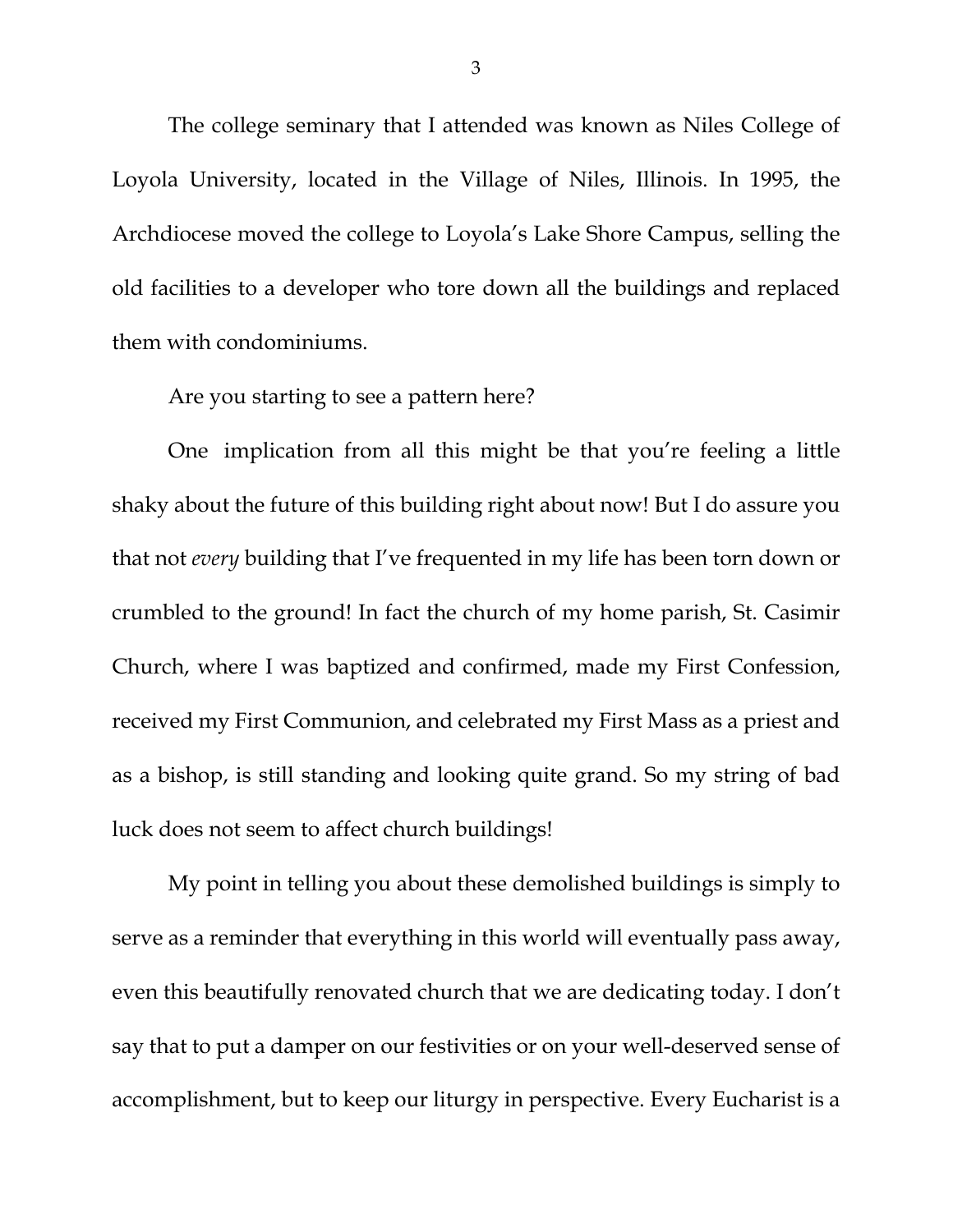The college seminary that I attended was known as Niles College of Loyola University, located in the Village of Niles, Illinois. In 1995, the Archdiocese moved the college to Loyola's Lake Shore Campus, selling the old facilities to a developer who tore down all the buildings and replaced them with condominiums.

## Are you starting to see a pattern here?

 One implication from all this might be that you're feeling a little shaky about the future of this building right about now! But I do assure you that not *every* building that I've frequented in my life has been torn down or crumbled to the ground! In fact the church of my home parish, St. Casimir Church, where I was baptized and confirmed, made my First Confession, received my First Communion, and celebrated my First Mass as a priest and as a bishop, is still standing and looking quite grand. So my string of bad luck does not seem to affect church buildings!

 My point in telling you about these demolished buildings is simply to serve as a reminder that everything in this world will eventually pass away, even this beautifully renovated church that we are dedicating today. I don't say that to put a damper on our festivities or on your well-deserved sense of accomplishment, but to keep our liturgy in perspective. Every Eucharist is a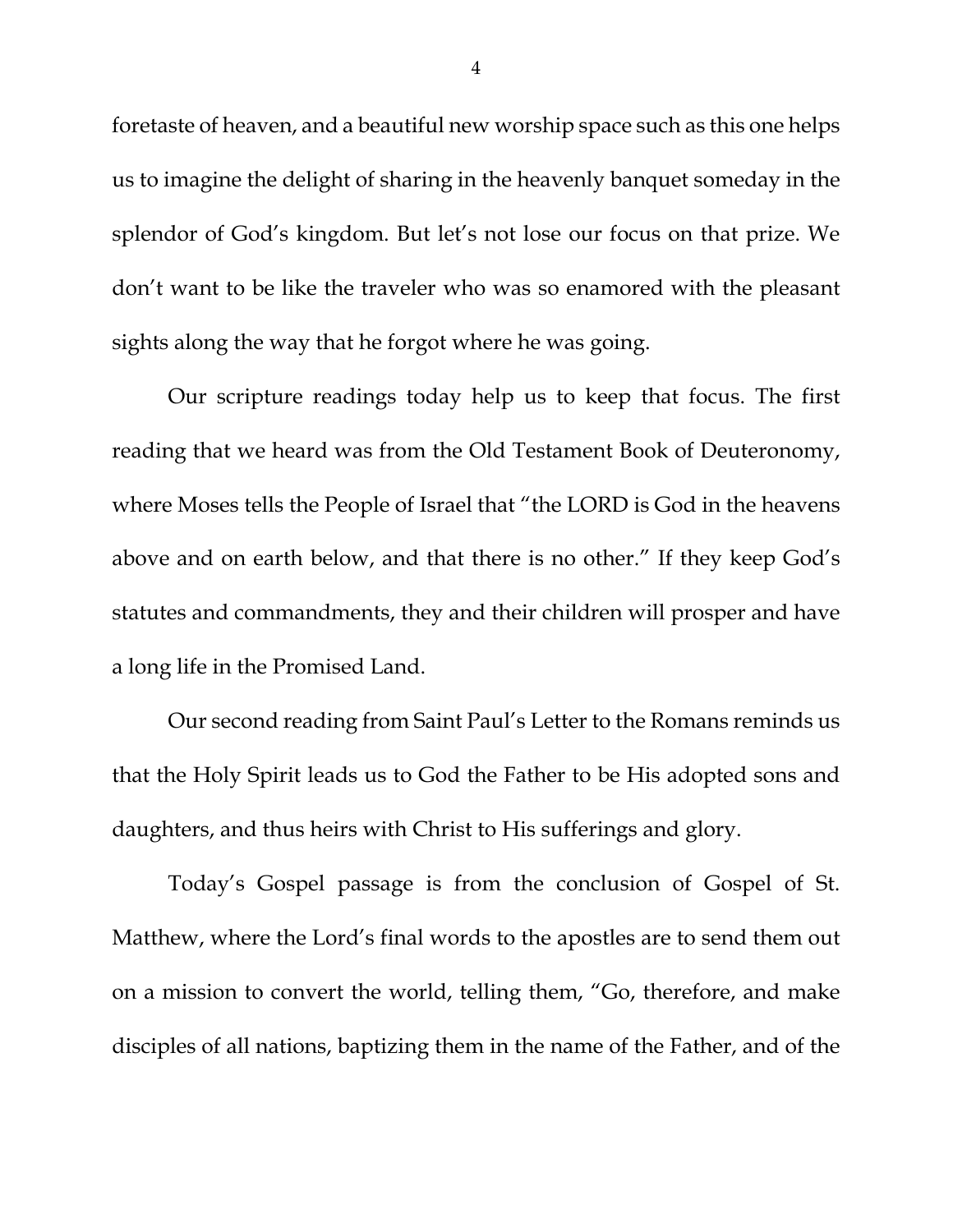foretaste of heaven, and a beautiful new worship space such as this one helps us to imagine the delight of sharing in the heavenly banquet someday in the splendor of God's kingdom. But let's not lose our focus on that prize. We don't want to be like the traveler who was so enamored with the pleasant sights along the way that he forgot where he was going.

Our scripture readings today help us to keep that focus. The first reading that we heard was from the Old Testament Book of Deuteronomy, where Moses tells the People of Israel that "the LORD is God in the heavens above and on earth below, and that there is no other." If they keep God's statutes and commandments, they and their children will prosper and have a long life in the Promised Land.

Our second reading from Saint Paul's Letter to the Romans reminds us that the Holy Spirit leads us to God the Father to be His adopted sons and daughters, and thus heirs with Christ to His sufferings and glory.

Today's Gospel passage is from the conclusion of Gospel of St. Matthew, where the Lord's final words to the apostles are to send them out on a mission to convert the world, telling them, "Go, therefore, and make disciples of all nations, baptizing them in the name of the Father, and of the

4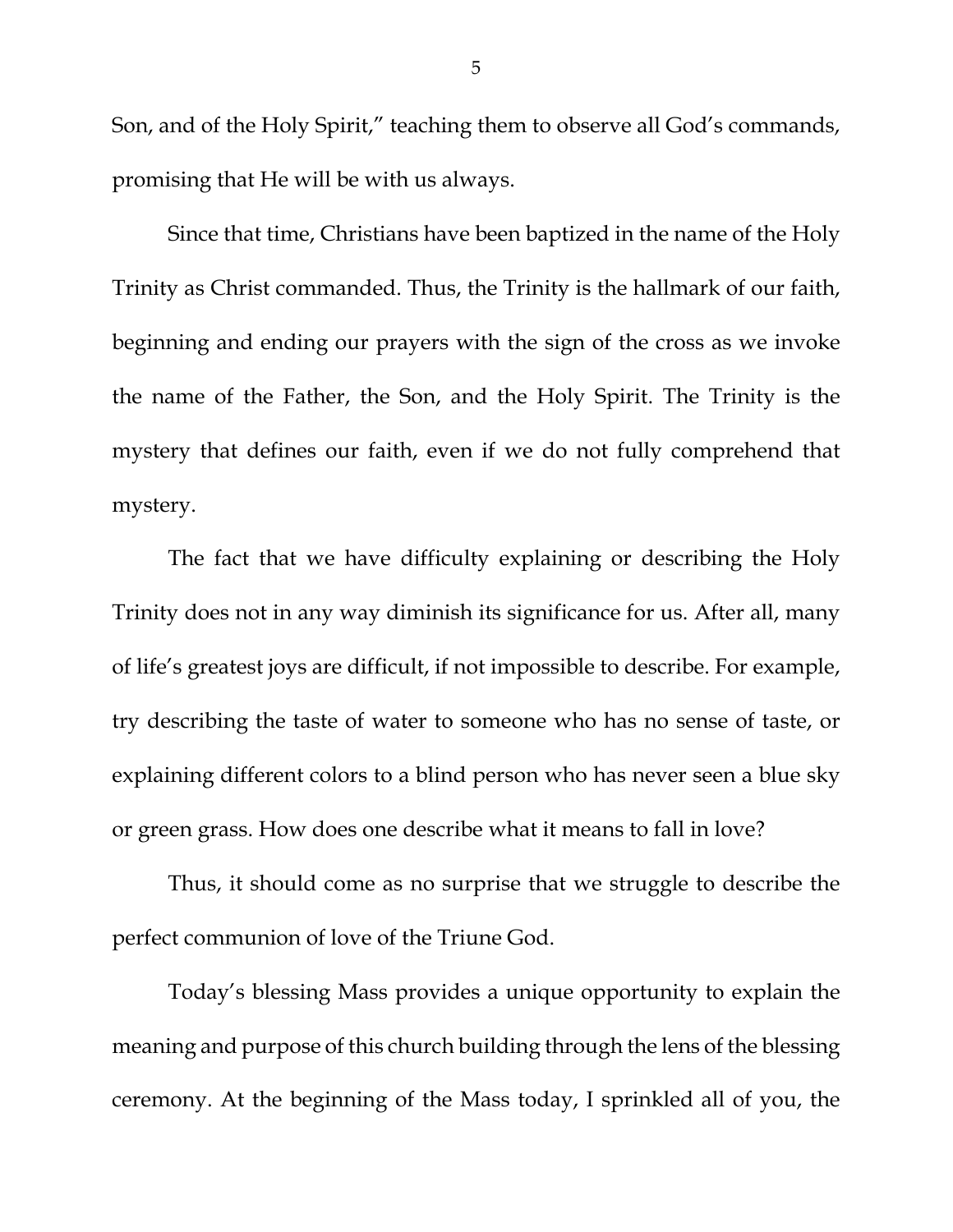Son, and of the Holy Spirit," teaching them to observe all God's commands, promising that He will be with us always.

Since that time, Christians have been baptized in the name of the Holy Trinity as Christ commanded. Thus, the Trinity is the hallmark of our faith, beginning and ending our prayers with the sign of the cross as we invoke the name of the Father, the Son, and the Holy Spirit. The Trinity is the mystery that defines our faith, even if we do not fully comprehend that mystery.

The fact that we have difficulty explaining or describing the Holy Trinity does not in any way diminish its significance for us. After all, many of life's greatest joys are difficult, if not impossible to describe. For example, try describing the taste of water to someone who has no sense of taste, or explaining different colors to a blind person who has never seen a blue sky or green grass. How does one describe what it means to fall in love?

Thus, it should come as no surprise that we struggle to describe the perfect communion of love of the Triune God.

Today's blessing Mass provides a unique opportunity to explain the meaning and purpose of this church building through the lens of the blessing ceremony. At the beginning of the Mass today, I sprinkled all of you, the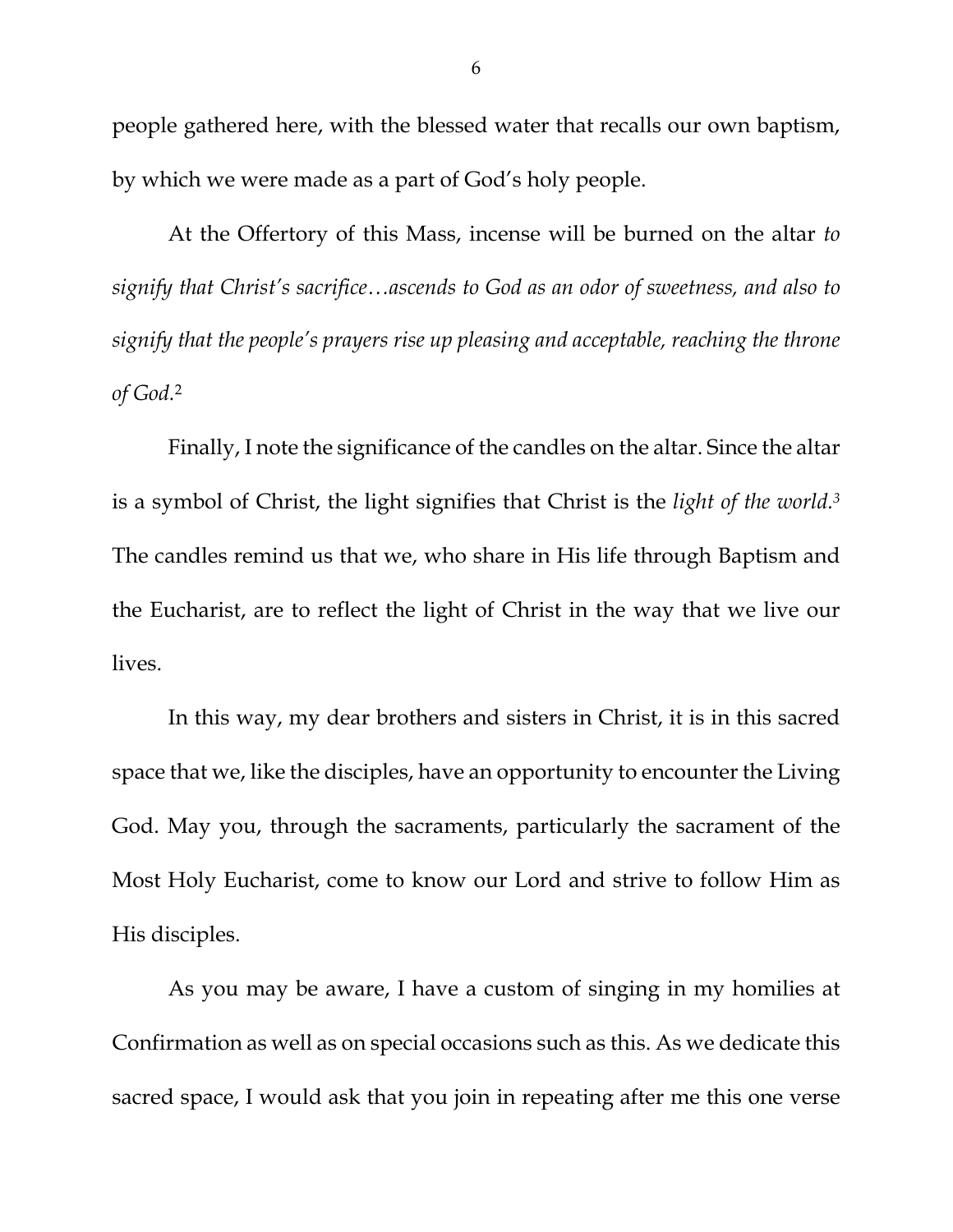people gathered here, with the blessed water that recalls our own baptism, by which we were made as a part of God's holy people.

At the Offertory of this Mass, incense will be burned on the altar *to signify that Christ's sacrifice…ascends to God as an odor of sweetness, and also to signify that the people's prayers rise up pleasing and acceptable, reaching the throne of God.*2

Finally, I note the significance of the candles on the altar. Since the altar is a symbol of Christ, the light signifies that Christ is the *light of the world.3* The candles remind us that we, who share in His life through Baptism and the Eucharist, are to reflect the light of Christ in the way that we live our lives.

In this way, my dear brothers and sisters in Christ, it is in this sacred space that we, like the disciples, have an opportunity to encounter the Living God. May you, through the sacraments, particularly the sacrament of the Most Holy Eucharist, come to know our Lord and strive to follow Him as His disciples.

As you may be aware, I have a custom of singing in my homilies at Confirmation as well as on special occasions such as this. As we dedicate this sacred space, I would ask that you join in repeating after me this one verse